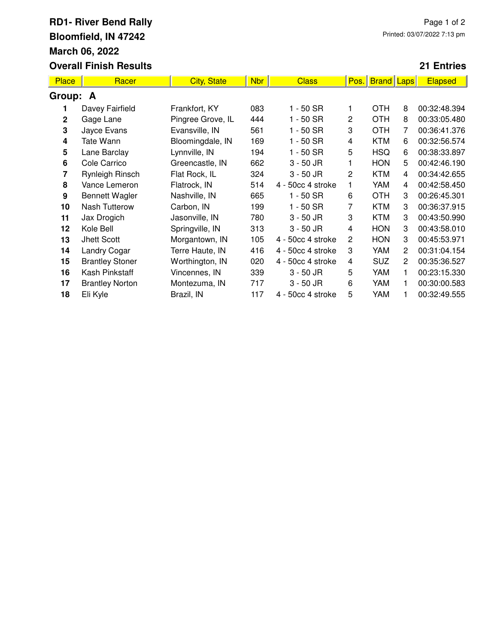## **RD1- River Bend Rally Bloomfield, IN 47242 March 06, 2022 Overall Finish Results**

## **21 Entries**

| <b>Place</b>   | Racer                  | <b>City, State</b> | <b>Nbr</b> | <b>Class</b>      | Pos.           | <b>Brand Laps</b> |                | <b>Elapsed</b> |  |  |  |
|----------------|------------------------|--------------------|------------|-------------------|----------------|-------------------|----------------|----------------|--|--|--|
| Group: A       |                        |                    |            |                   |                |                   |                |                |  |  |  |
| 1              | Davey Fairfield        | Frankfort, KY      | 083        | 1 - 50 SR         |                | OTH               | 8              | 00:32:48.394   |  |  |  |
| $\overline{2}$ | Gage Lane              | Pingree Grove, IL  | 444        | $1 - 50$ SR       | $\overline{c}$ | <b>OTH</b>        | 8              | 00:33:05.480   |  |  |  |
| 3              | Jayce Evans            | Evansville, IN     | 561        | $1 - 50$ SR       | 3              | <b>OTH</b>        | 7              | 00:36:41.376   |  |  |  |
| 4              | Tate Wann              | Bloomingdale, IN   | 169        | $1 - 50$ SR       | 4              | <b>KTM</b>        | 6              | 00:32:56.574   |  |  |  |
| 5              | Lane Barclay           | Lynnville, IN      | 194        | $1 - 50$ SR       | 5              | <b>HSQ</b>        | 6              | 00:38:33.897   |  |  |  |
| 6              | Cole Carrico           | Greencastle, IN    | 662        | $3 - 50$ JR       |                | <b>HON</b>        | 5              | 00:42:46.190   |  |  |  |
| 7              | Rynleigh Rinsch        | Flat Rock, IL      | 324        | $3 - 50$ JR       | $\overline{2}$ | <b>KTM</b>        | 4              | 00:34:42.655   |  |  |  |
| 8              | Vance Lemeron          | Flatrock, IN       | 514        | 4 - 50cc 4 stroke | 1              | YAM               | 4              | 00:42:58.450   |  |  |  |
| 9              | <b>Bennett Wagler</b>  | Nashville, IN      | 665        | $1 - 50$ SR       | 6              | <b>OTH</b>        | 3              | 00:26:45.301   |  |  |  |
| 10             | <b>Nash Tutterow</b>   | Carbon, IN         | 199        | $1 - 50$ SR       | 7              | <b>KTM</b>        | 3              | 00:36:37.915   |  |  |  |
| 11             | Jax Drogich            | Jasonville, IN     | 780        | $3 - 50$ JR       | 3              | <b>KTM</b>        | 3              | 00:43:50.990   |  |  |  |
| 12             | Kole Bell              | Springville, IN    | 313        | $3 - 50$ JR       | 4              | <b>HON</b>        | 3              | 00:43:58.010   |  |  |  |
| 13             | Jhett Scott            | Morgantown, IN     | 105        | 4 - 50cc 4 stroke | 2              | <b>HON</b>        | 3              | 00:45:53.971   |  |  |  |
| 14             | <b>Landry Cogar</b>    | Terre Haute, IN    | 416        | 4 - 50cc 4 stroke | 3              | YAM               | $\overline{2}$ | 00:31:04.154   |  |  |  |
| 15             | <b>Brantley Stoner</b> | Worthington, IN    | 020        | 4 - 50cc 4 stroke | 4              | <b>SUZ</b>        | $\overline{2}$ | 00:35:36.527   |  |  |  |
| 16             | Kash Pinkstaff         | Vincennes, IN      | 339        | $3 - 50$ JR       | 5              | YAM               | 1              | 00:23:15.330   |  |  |  |
| 17             | <b>Brantley Norton</b> | Montezuma, IN      | 717        | $3 - 50$ JR       | 6              | YAM               | 1.             | 00:30:00.583   |  |  |  |
| 18             | Eli Kyle               | Brazil, IN         | 117        | 4 - 50cc 4 stroke | 5              | YAM               |                | 00:32:49.555   |  |  |  |